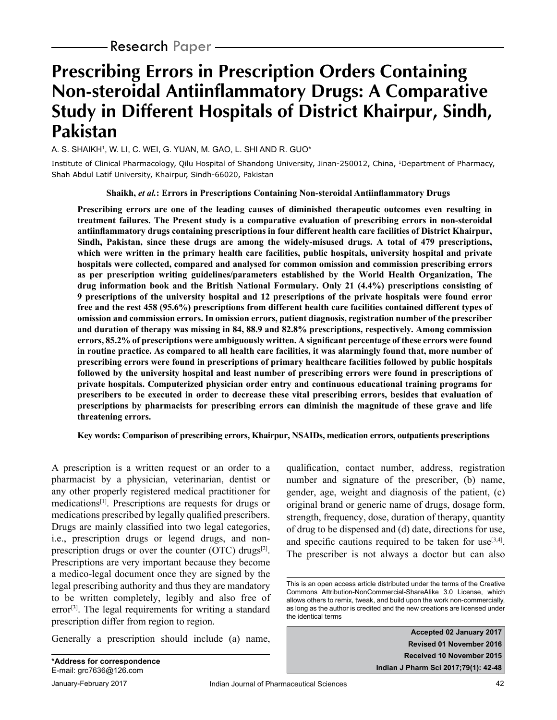# **Prescribing Errors in Prescription Orders Containing Non-steroidal Antiinflammatory Drugs: A Comparative Study in Different Hospitals of District Khairpur, Sindh, Pakistan**

A. S. SHAIKH1 , W. LI, C. WEI, G. YUAN, M. GAO, L. SHI AND R. GUO\*

Institute of Clinical Pharmacology, Qilu Hospital of Shandong University, Jinan-250012, China, 1Department of Pharmacy, Shah Abdul Latif University, Khairpur, Sindh-66020, Pakistan

**Shaikh,** *et al.***: Errors in Prescriptions Containing Non-steroidal Antiinflammatory Drugs** 

**Prescribing errors are one of the leading causes of diminished therapeutic outcomes even resulting in treatment failures. The Present study is a comparative evaluation of prescribing errors in non-steroidal antiinflammatory drugs containing prescriptions in four different health care facilities of District Khairpur, Sindh, Pakistan, since these drugs are among the widely-misused drugs. A total of 479 prescriptions, which were written in the primary health care facilities, public hospitals, university hospital and private hospitals were collected, compared and analysed for common omission and commission prescribing errors as per prescription writing guidelines/parameters established by the World Health Organization, The drug information book and the British National Formulary. Only 21 (4.4%) prescriptions consisting of 9 prescriptions of the university hospital and 12 prescriptions of the private hospitals were found error free and the rest 458 (95.6%) prescriptions from different health care facilities contained different types of omission and commission errors. In omission errors, patient diagnosis, registration number of the prescriber and duration of therapy was missing in 84, 88.9 and 82.8% prescriptions, respectively. Among commission errors, 85.2% of prescriptions were ambiguously written. A significant percentage of these errors were found in routine practice. As compared to all health care facilities, it was alarmingly found that, more number of prescribing errors were found in prescriptions of primary healthcare facilities followed by public hospitals followed by the university hospital and least number of prescribing errors were found in prescriptions of private hospitals. Computerized physician order entry and continuous educational training programs for prescribers to be executed in order to decrease these vital prescribing errors, besides that evaluation of prescriptions by pharmacists for prescribing errors can diminish the magnitude of these grave and life threatening errors.** 

**Key words: Comparison of prescribing errors, Khairpur, NSAIDs, medication errors, outpatients prescriptions** 

A prescription is a written request or an order to a pharmacist by a physician, veterinarian, dentist or any other properly registered medical practitioner for medications[1]. Prescriptions are requests for drugs or medications prescribed by legally qualified prescribers. Drugs are mainly classified into two legal categories, i.e., prescription drugs or legend drugs, and nonprescription drugs or over the counter (OTC) drugs $[2]$ . Prescriptions are very important because they become a medico-legal document once they are signed by the legal prescribing authority and thus they are mandatory to be written completely, legibly and also free of error<sup>[3]</sup>. The legal requirements for writing a standard prescription differ from region to region.

Generally a prescription should include (a) name,

qualification, contact number, address, registration number and signature of the prescriber, (b) name, gender, age, weight and diagnosis of the patient, (c) original brand or generic name of drugs, dosage form, strength, frequency, dose, duration of therapy, quantity of drug to be dispensed and (d) date, directions for use, and specific cautions required to be taken for use<sup>[3,4]</sup>. The prescriber is not always a doctor but can also

**Accepted 02 January 2017 Revised 01 November 2016 Received 10 November 2015 Indian J Pharm Sci 2017;79(1): 42-48**

This is an open access article distributed under the terms of the Creative Commons Attribution-NonCommercial-ShareAlike 3.0 License, which allows others to remix, tweak, and build upon the work non-commercially, as long as the author is credited and the new creations are licensed under the identical terms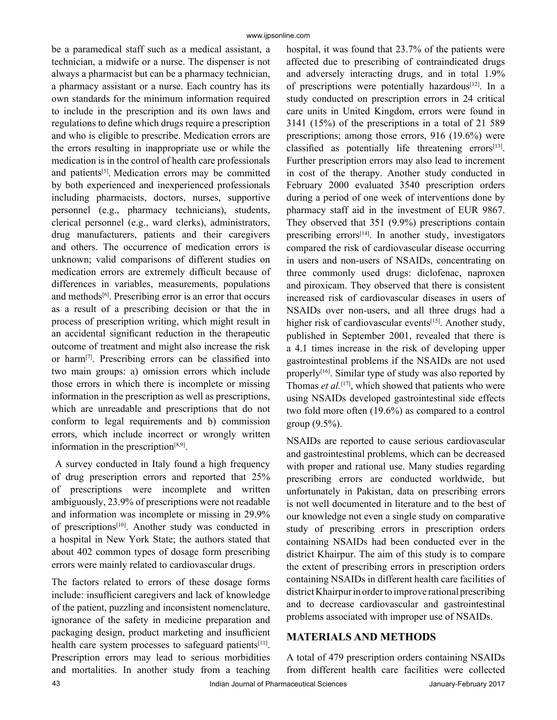be a paramedical staff such as a medical assistant, a technician, a midwife or a nurse. The dispenser is not always a pharmacist but can be a pharmacy technician, a pharmacy assistant or a nurse. Each country has its own standards for the minimum information required to include in the prescription and its own laws and regulations to define which drugs require a prescription and who is eligible to prescribe. Medication errors are the errors resulting in inappropriate use or while the medication is in the control of health care professionals and patients<sup>[5]</sup>. Medication errors may be committed by both experienced and inexperienced professionals including pharmacists, doctors, nurses, supportive personnel (e.g., pharmacy technicians), students, clerical personnel (e.g., ward clerks), administrators, drug manufacturers, patients and their caregivers and others. The occurrence of medication errors is unknown; valid comparisons of different studies on medication errors are extremely difficult because of differences in variables, measurements, populations and methods<sup>[6]</sup>. Prescribing error is an error that occurs as a result of a prescribing decision or that the in process of prescription writing, which might result in an accidental significant reduction in the therapeutic outcome of treatment and might also increase the risk or harm[7]. Prescribing errors can be classified into two main groups: a) omission errors which include those errors in which there is incomplete or missing information in the prescription as well as prescriptions, which are unreadable and prescriptions that do not conform to legal requirements and b) commission errors, which include incorrect or wrongly written information in the prescription $[8,9]$ .

 A survey conducted in Italy found a high frequency of drug prescription errors and reported that 25% of prescriptions were incomplete and written ambiguously, 23.9% of prescriptions were not readable and information was incomplete or missing in 29.9% of prescriptions[10]. Another study was conducted in a hospital in New York State; the authors stated that about 402 common types of dosage form prescribing errors were mainly related to cardiovascular drugs.

The factors related to errors of these dosage forms include: insufficient caregivers and lack of knowledge of the patient, puzzling and inconsistent nomenclature, ignorance of the safety in medicine preparation and packaging design, product marketing and insufficient health care system processes to safeguard patients<sup>[11]</sup>. Prescription errors may lead to serious morbidities and mortalities. In another study from a teaching

hospital, it was found that 23.7% of the patients were affected due to prescribing of contraindicated drugs and adversely interacting drugs, and in total 1.9% of prescriptions were potentially hazardous<sup>[12]</sup>. In a study conducted on prescription errors in 24 critical care units in United Kingdom, errors were found in 3141 (15%) of the prescriptions in a total of 21 589 prescriptions; among those errors, 916 (19.6%) were classified as potentially life threatening errors $[13]$ . Further prescription errors may also lead to increment in cost of the therapy. Another study conducted in February 2000 evaluated 3540 prescription orders during a period of one week of interventions done by pharmacy staff aid in the investment of EUR 9867. They observed that 351 (9.9%) prescriptions contain prescribing errors<sup>[14]</sup>. In another study, investigators compared the risk of cardiovascular disease occurring in users and non-users of NSAIDs, concentrating on three commonly used drugs: diclofenac, naproxen and piroxicam. They observed that there is consistent increased risk of cardiovascular diseases in users of NSAIDs over non-users, and all three drugs had a higher risk of cardiovascular events<sup>[15]</sup>. Another study, published in September 2001, revealed that there is a 4.1 times increase in the risk of developing upper gastrointestinal problems if the NSAIDs are not used properly<sup>[16]</sup>. Similar type of study was also reported by Thomas *et al.*<sup>[17]</sup>, which showed that patients who were using NSAIDs developed gastrointestinal side effects two fold more often (19.6%) as compared to a control group (9.5%).

NSAIDs are reported to cause serious cardiovascular and gastrointestinal problems, which can be decreased with proper and rational use. Many studies regarding prescribing errors are conducted worldwide, but unfortunately in Pakistan, data on prescribing errors is not well documented in literature and to the best of our knowledge not even a single study on comparative study of prescribing errors in prescription orders containing NSAIDs had been conducted ever in the district Khairpur. The aim of this study is to compare the extent of prescribing errors in prescription orders containing NSAIDs in different health care facilities of district Khairpur in order to improve rational prescribing and to decrease cardiovascular and gastrointestinal problems associated with improper use of NSAIDs.

## **MATERIALS AND METHODS**

A total of 479 prescription orders containing NSAIDs from different health care facilities were collected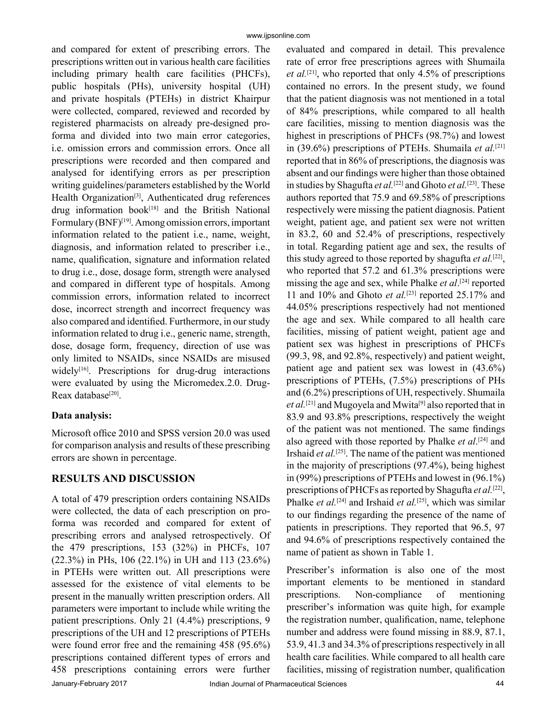and compared for extent of prescribing errors. The prescriptions written out in various health care facilities including primary health care facilities (PHCFs), public hospitals (PHs), university hospital (UH) and private hospitals (PTEHs) in district Khairpur were collected, compared, reviewed and recorded by registered pharmacists on already pre-designed proforma and divided into two main error categories, i.e. omission errors and commission errors. Once all prescriptions were recorded and then compared and analysed for identifying errors as per prescription writing guidelines/parameters established by the World Health Organization<sup>[3]</sup>, Authenticated drug references drug information book $[18]$  and the British National Formulary (BNF)[19]. Among omission errors, important information related to the patient i.e., name, weight, diagnosis, and information related to prescriber i.e., name, qualification, signature and information related to drug i.e., dose, dosage form, strength were analysed and compared in different type of hospitals. Among commission errors, information related to incorrect dose, incorrect strength and incorrect frequency was also compared and identified. Furthermore, in our study information related to drug i.e., generic name, strength, dose, dosage form, frequency, direction of use was only limited to NSAIDs, since NSAIDs are misused widely<sup>[16]</sup>. Prescriptions for drug-drug interactions were evaluated by using the Micromedex.2.0. Drug-Reax database<sup>[20]</sup>.

## **Data analysis:**

Microsoft office 2010 and SPSS version 20.0 was used for comparison analysis and results of these prescribing errors are shown in percentage.

## **RESULTS AND DISCUSSION**

A total of 479 prescription orders containing NSAIDs were collected, the data of each prescription on proforma was recorded and compared for extent of prescribing errors and analysed retrospectively. Of the 479 prescriptions, 153 (32%) in PHCFs, 107 (22.3%) in PHs, 106 (22.1%) in UH and 113 (23.6%) in PTEHs were written out. All prescriptions were assessed for the existence of vital elements to be present in the manually written prescription orders. All parameters were important to include while writing the patient prescriptions. Only 21 (4.4%) prescriptions, 9 prescriptions of the UH and 12 prescriptions of PTEHs were found error free and the remaining 458 (95.6%) prescriptions contained different types of errors and 458 prescriptions containing errors were further

evaluated and compared in detail. This prevalence rate of error free prescriptions agrees with Shumaila *et al.*[21], who reported that only 4.5% of prescriptions contained no errors. In the present study, we found that the patient diagnosis was not mentioned in a total of 84% prescriptions, while compared to all health care facilities, missing to mention diagnosis was the highest in prescriptions of PHCFs (98.7%) and lowest in (39.6%) prescriptions of PTEHs. Shumaila *et al.*[21] reported that in 86% of prescriptions, the diagnosis was absent and our findings were higher than those obtained in studies by Shagufta *et al.*[22] and Ghoto *et al.*[23]. These authors reported that 75.9 and 69.58% of prescriptions respectively were missing the patient diagnosis. Patient weight, patient age, and patient sex were not written in 83.2, 60 and 52.4% of prescriptions, respectively in total. Regarding patient age and sex, the results of this study agreed to those reported by shagufta *et al.*[22], who reported that 57.2 and 61.3% prescriptions were missing the age and sex, while Phalke *et al*. [24] reported 11 and 10% and Ghoto *et al.*[23] reported 25.17% and 44.05% prescriptions respectively had not mentioned the age and sex. While compared to all health care facilities, missing of patient weight, patient age and patient sex was highest in prescriptions of PHCFs (99.3, 98, and 92.8%, respectively) and patient weight, patient age and patient sex was lowest in (43.6%) prescriptions of PTEHs, (7.5%) prescriptions of PHs and (6.2%) prescriptions of UH, respectively. Shumaila et al.<sup>[21]</sup> and Mugoyela and Mwita<sup>[9]</sup> also reported that in 83.9 and 93.8% prescriptions, respectively the weight of the patient was not mentioned. The same findings also agreed with those reported by Phalke *et al*. [24] and Irshaid *et al.*[25]. The name of the patient was mentioned in the majority of prescriptions (97.4%), being highest in (99%) prescriptions of PTEHs and lowest in (96.1%) prescriptions of PHCFs as reported by Shagufta *et al.*[22], Phalke *et al.*[24] and Irshaid *et al.*[25], which was similar to our findings regarding the presence of the name of patients in prescriptions. They reported that 96.5, 97 and 94.6% of prescriptions respectively contained the name of patient as shown in Table 1.

Prescriber's information is also one of the most important elements to be mentioned in standard prescriptions. Non-compliance of mentioning prescriber's information was quite high, for example the registration number, qualification, name, telephone number and address were found missing in 88.9, 87.1, 53.9, 41.3 and 34.3% of prescriptions respectively in all health care facilities. While compared to all health care facilities, missing of registration number, qualification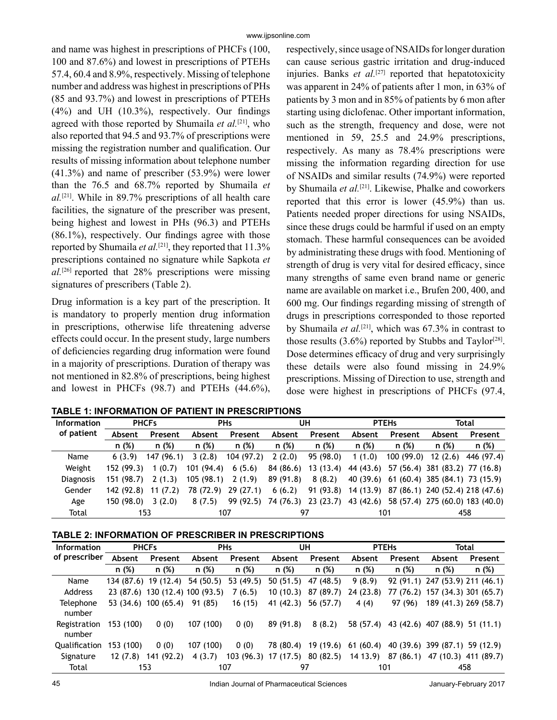and name was highest in prescriptions of PHCFs (100, 100 and 87.6%) and lowest in prescriptions of PTEHs 57.4, 60.4 and 8.9%, respectively. Missing of telephone number and address was highest in prescriptions of PHs (85 and 93.7%) and lowest in prescriptions of PTEHs (4%) and UH (10.3%), respectively. Our findings agreed with those reported by Shumaila *et al.*[21], who also reported that 94.5 and 93.7% of prescriptions were missing the registration number and qualification. Our results of missing information about telephone number (41.3%) and name of prescriber (53.9%) were lower than the 76.5 and 68.7% reported by Shumaila *et al.*[21]. While in 89.7% prescriptions of all health care facilities, the signature of the prescriber was present, being highest and lowest in PHs (96.3) and PTEHs (86.1%), respectively. Our findings agree with those reported by Shumaila *et al.*<sup>[21]</sup>, they reported that 11.3% prescriptions contained no signature while Sapkota *et al.*[26] reported that 28% prescriptions were missing signatures of prescribers (Table 2).

Drug information is a key part of the prescription. It is mandatory to properly mention drug information in prescriptions, otherwise life threatening adverse effects could occur. In the present study, large numbers of deficiencies regarding drug information were found in a majority of prescriptions. Duration of therapy was not mentioned in 82.8% of prescriptions, being highest and lowest in PHCFs (98.7) and PTEHs (44.6%), respectively, since usage of NSAIDs for longer duration can cause serious gastric irritation and drug-induced injuries. Banks *et al.*<sup>[27]</sup> reported that hepatotoxicity was apparent in 24% of patients after 1 mon, in 63% of patients by 3 mon and in 85% of patients by 6 mon after starting using diclofenac. Other important information, such as the strength, frequency and dose, were not mentioned in 59, 25.5 and 24.9% prescriptions, respectively. As many as 78.4% prescriptions were missing the information regarding direction for use of NSAIDs and similar results (74.9%) were reported by Shumaila *et al.*[21]. Likewise, Phalke and coworkers reported that this error is lower (45.9%) than us. Patients needed proper directions for using NSAIDs, since these drugs could be harmful if used on an empty stomach. These harmful consequences can be avoided by administrating these drugs with food. Mentioning of strength of drug is very vital for desired efficacy, since many strengths of same even brand name or generic name are available on market i.e., Brufen 200, 400, and 600 mg. Our findings regarding missing of strength of drugs in prescriptions corresponded to those reported by Shumaila *et al.*[21], which was 67.3% in contrast to those results  $(3.6\%)$  reported by Stubbs and Taylor<sup>[28]</sup>. Dose determines efficacy of drug and very surprisingly these details were also found missing in 24.9% prescriptions. Missing of Direction to use, strength and dose were highest in prescriptions of PHCFs (97.4,

| <b>Information</b> | <b>PHCFs</b> |           | <b>PHs</b> |           | UH        |           | <b>PTEHs</b> |           | Total                           |            |
|--------------------|--------------|-----------|------------|-----------|-----------|-----------|--------------|-----------|---------------------------------|------------|
| of patient         | Absent       | Present   | Absent     | Present   | Absent    | Present   | Absent       | Present   | Absent                          | Present    |
|                    | n (%)        | n(%)      | n(%)       | n(%)      | n (%)     | n (%)     | n(%)         | n(%)      | n (%)                           | n (%)      |
| Name               | 6(3.9)       | 147(96.1) | 3(2.8)     | 104(97.2) | 2(2.0)    | 95 (98.0) | 1(1.0)       | 100(99.0) | 12(2.6)                         | 446 (97.4) |
| Weight             | 152(99.3)    | 1(0.7)    | 101(94.4)  | 6(5.6)    | 84 (86.6) | 13(13.4)  | 44 (43.6)    |           | 57 (56.4) 381 (83.2) 77 (16.8)  |            |
| <b>Diagnosis</b>   | 151 (98.7)   | 2(1.3)    | 105(98.1)  | 2(1.9)    | 89 (91.8) | 8(8.2)    | 40 (39.6)    |           | 61 (60.4) 385 (84.1) 73 (15.9)  |            |
| Gender             | 142 (92.8)   | 11(7.2)   | 78 (72.9)  | 29(27.1)  | 6(6.2)    | 91(93.8)  | 14 (13.9)    |           | 87 (86.1) 240 (52.4) 218 (47.6) |            |
| Age                | 150 (98.0)   | 3(2.0)    | 8(7.5)     | 99 (92.5) | 74 (76.3) | 23(23.7)  | 43 (42.6)    |           | 58 (57.4) 275 (60.0) 183 (40.0) |            |
| Total              | 153          |           | 107        |           | 97        |           | 101          |           | 458                             |            |

|  | TABLE 1: INFORMATION OF PATIENT IN PRESCRIPTIONS |  |
|--|--------------------------------------------------|--|
|--|--------------------------------------------------|--|

| <b>Information</b>     | <b>PHCFs</b> |                                 | <b>PHs</b> |           | UH                             |           | <b>PTEHs</b> |           | Total                           |                       |
|------------------------|--------------|---------------------------------|------------|-----------|--------------------------------|-----------|--------------|-----------|---------------------------------|-----------------------|
| of prescriber          | Absent       | Present                         | Absent     | Present   | Absent                         | Present   | Absent       | Present   | Absent                          | Present               |
|                        | n (%)        | n (%)                           | n (%)      | n (%)     | n (%)                          | n (%)     | n (%)        | n (%)     | n (%)                           | n (%)                 |
| Name                   |              | 134 (87.6) 19 (12.4)            | 54 (50.5)  | 53 (49.5) | 50(51.5)                       | 47 (48.5) | 9(8.9)       |           | 92 (91.1) 247 (53.9) 211 (46.1) |                       |
| Address                |              | 23 (87.6) 130 (12.4) 100 (93.5) |            | 7(6.5)    | 10(10.3)                       | 87 (89.7) | 24(23.8)     |           | 77 (76.2) 157 (34.3) 301 (65.7) |                       |
| Telephone<br>number    |              | 53 (34.6) 100 (65.4)            | 91 (85)    | 16(15)    | 41 (42.3)                      | 56 (57.7) | 4 (4)        | 97 (96)   |                                 | 189 (41.3) 269 (58.7) |
| Registration<br>number | 153 (100)    | 0(0)                            | 107 (100)  | 0(0)      | 89 (91.8)                      | 8(8.2)    | 58 (57.4)    |           | 43 (42.6) 407 (88.9) 51 (11.1)  |                       |
| Qualification          | 153 (100)    | 0(0)                            | 107 (100)  | 0(0)      | 78 (80.4)                      | 19 (19.6) | 61 (60.4)    |           | 40 (39.6) 399 (87.1) 59 (12.9)  |                       |
| Signature              | 12(7.8)      | 141 (92.2)                      | 4 (3.7)    |           | 103 (96.3) 17 (17.5) 80 (82.5) |           | 14 13.9)     | 87 (86.1) |                                 | 47 (10.3) 411 (89.7)  |
| Total                  |              | 153                             |            | 107       |                                | 97        |              | 101       |                                 | 458                   |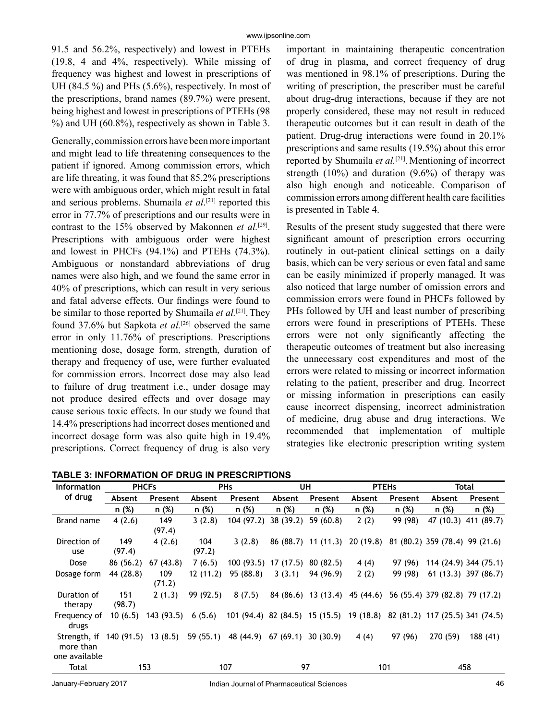91.5 and 56.2%, respectively) and lowest in PTEHs (19.8, 4 and 4%, respectively). While missing of frequency was highest and lowest in prescriptions of UH (84.5 %) and PHs (5.6%), respectively. In most of the prescriptions, brand names (89.7%) were present, being highest and lowest in prescriptions of PTEHs (98 %) and UH (60.8%), respectively as shown in Table 3.

Generally, commission errors have been more important and might lead to life threatening consequences to the patient if ignored. Among commission errors, which are life threating, it was found that 85.2% prescriptions were with ambiguous order, which might result in fatal and serious problems. Shumaila *et al*. [21] reported this error in 77.7% of prescriptions and our results were in contrast to the 15% observed by Makonnen *et al.*[29]. Prescriptions with ambiguous order were highest and lowest in PHCFs (94.1%) and PTEHs (74.3%). Ambiguous or nonstandard abbreviations of drug names were also high, and we found the same error in 40% of prescriptions, which can result in very serious and fatal adverse effects. Our findings were found to be similar to those reported by Shumaila *et al.*[21].They found 37.6% but Sapkota et al.<sup>[26]</sup> observed the same error in only 11.76% of prescriptions. Prescriptions mentioning dose, dosage form, strength, duration of therapy and frequency of use, were further evaluated for commission errors. Incorrect dose may also lead to failure of drug treatment i.e., under dosage may not produce desired effects and over dosage may cause serious toxic effects. In our study we found that 14.4% prescriptions had incorrect doses mentioned and incorrect dosage form was also quite high in 19.4% prescriptions. Correct frequency of drug is also very

important in maintaining therapeutic concentration of drug in plasma, and correct frequency of drug was mentioned in 98.1% of prescriptions. During the writing of prescription, the prescriber must be careful about drug-drug interactions, because if they are not properly considered, these may not result in reduced therapeutic outcomes but it can result in death of the patient. Drug-drug interactions were found in 20.1% prescriptions and same results (19.5%) about this error reported by Shumaila *et al.*[21]. Mentioning of incorrect strength  $(10\%)$  and duration  $(9.6\%)$  of therapy was also high enough and noticeable. Comparison of commission errors among different health care facilities is presented in Table 4.

Results of the present study suggested that there were significant amount of prescription errors occurring routinely in out-patient clinical settings on a daily basis, which can be very serious or even fatal and same can be easily minimized if properly managed. It was also noticed that large number of omission errors and commission errors were found in PHCFs followed by PHs followed by UH and least number of prescribing errors were found in prescriptions of PTEHs. These errors were not only significantly affecting the therapeutic outcomes of treatment but also increasing the unnecessary cost expenditures and most of the errors were related to missing or incorrect information relating to the patient, prescriber and drug. Incorrect or missing information in prescriptions can easily cause incorrect dispensing, incorrect administration of medicine, drug abuse and drug interactions. We recommended that implementation of multiple strategies like electronic prescription writing system

| <b>Information</b>                         | <b>PHCFs</b>         |               | <b>PHs</b>    |                                                                          | UH       |                               | <b>PTEHs</b> |         | Total                          |                       |
|--------------------------------------------|----------------------|---------------|---------------|--------------------------------------------------------------------------|----------|-------------------------------|--------------|---------|--------------------------------|-----------------------|
| of drug                                    | Absent               | Present       | Absent        | Present                                                                  | Absent   | Present                       | Absent       | Present | Absent                         | Present               |
|                                            | n (%)                | n (%)         | n (%)         | n (%)                                                                    | n (%)    | n(%)                          | n (%)        | n (%)   | n (%)                          | n (%)                 |
| Brand name                                 | 4(2.6)               | 149<br>(97.4) | 3(2.8)        | 104 (97.2) 38 (39.2)                                                     |          | 59(60.8)                      | 2(2)         | 99 (98) |                                | 47 (10.3) 411 (89.7)  |
| Direction of<br>use                        | 149<br>(97.4)        | 4(2.6)        | 104<br>(97.2) | 3(2.8)                                                                   |          | 86 (88.7) 11 (11.3)           | 20 (19.8)    |         | 81 (80.2) 359 (78.4) 99 (21.6) |                       |
| Dose                                       | 86 (56.2)            | 67(43.8)      | 7(6.5)        | $100(93.5)$ 17 (17.5)                                                    |          | 80 (82.5)                     | 4(4)         | 97 (96) |                                | 114 (24.9) 344 (75.1) |
| Dosage form                                | 44 (28.8)            | 109<br>(71.2) | 12(11.2)      | 95 (88.8)                                                                | 3(3.1)   | 94 (96.9)                     | 2(2)         | 99 (98) |                                | $61(13.3)$ 397 (86.7) |
| Duration of<br>therapy                     | 151<br>(98.7)        | 2(1.3)        | 99 (92.5)     | 8(7.5)                                                                   |          | 84 (86.6) 13 (13.4) 45 (44.6) |              |         | 56 (55.4) 379 (82.8) 79 (17.2) |                       |
| Frequency of<br>drugs                      | 10(6.5)              | 143 (93.5)    | 6(5.6)        | 101 (94.4) 82 (84.5) 15 (15.5) 19 (18.8) 82 (81.2) 117 (25.5) 341 (74.5) |          |                               |              |         |                                |                       |
| Strength, if<br>more than<br>one available | $140(91.5)$ 13 (8.5) |               | 59(55.1)      | 48 (44.9)                                                                | 67(69.1) | 30(30.9)                      | 4 (4)        | 97 (96) | 270 (59)                       | 188 (41)              |
| Total                                      |                      | 153           |               | 107                                                                      |          | 97                            | 101          |         |                                | 458                   |

**TABLE 3: INFORMATION OF DRUG IN PRESCRIPTIONS**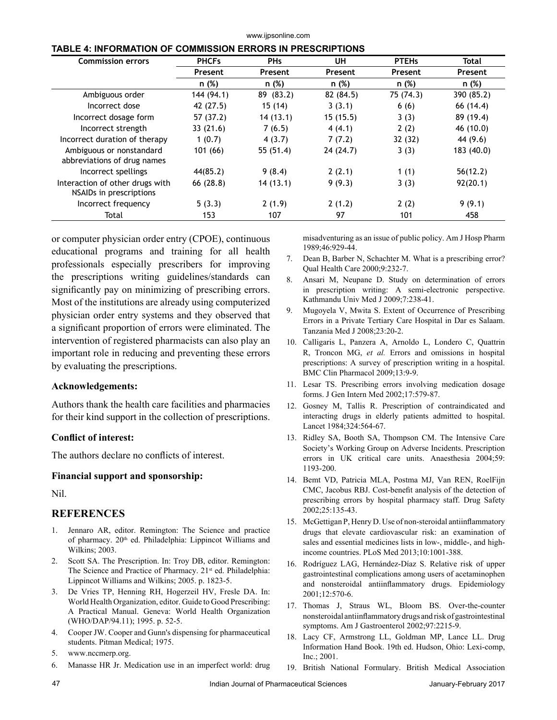#### www.ijpsonline.com

#### **TABLE 4: INFORMATION OF COMMISSION ERRORS IN PRESCRIPTIONS**

| <b>Commission errors</b>                                   | <b>PHCFs</b> | <b>PHs</b>     | UH        | <b>PTEHs</b> | Total      |  |
|------------------------------------------------------------|--------------|----------------|-----------|--------------|------------|--|
|                                                            | Present      | <b>Present</b> | Present   | Present      | Present    |  |
|                                                            | n (%)        | n (%)          | n (%)     | n (%)        | n (%)      |  |
| Ambiguous order                                            | 144 (94.1)   | 89 (83.2)      | 82 (84.5) | 75 (74.3)    | 390 (85.2) |  |
| Incorrect dose                                             | 42 (27.5)    | 15(14)         | 3(3.1)    | 6(6)         | 66 (14.4)  |  |
| Incorrect dosage form                                      | 57 (37.2)    | 14(13.1)       | 15(15.5)  | 3(3)         | 89 (19.4)  |  |
| Incorrect strength                                         | 33(21.6)     | 7(6.5)         | 4(4.1)    | 2(2)         | 46 (10.0)  |  |
| Incorrect duration of therapy                              | 1(0.7)       | 4(3.7)         | 7(7.2)    | 32 (32)      | 44 (9.6)   |  |
| Ambiguous or nonstandard<br>abbreviations of drug names    | 101(66)      | 55 (51.4)      | 24 (24.7) | 3(3)         | 183 (40.0) |  |
| Incorrect spellings                                        | 44(85.2)     | 9(8.4)         | 2(2.1)    | 1(1)         | 56(12.2)   |  |
| Interaction of other drugs with<br>NSAIDs in prescriptions | 66 (28.8)    | 14(13.1)       | 9(9.3)    | 3(3)         | 92(20.1)   |  |
| Incorrect frequency                                        | 5(3.3)       | 2(1.9)         | 2(1.2)    | 2(2)         | 9(9.1)     |  |
| Total                                                      | 153          | 107            | 97        | 101          | 458        |  |

or computer physician order entry (CPOE), continuous educational programs and training for all health professionals especially prescribers for improving the prescriptions writing guidelines/standards can significantly pay on minimizing of prescribing errors. Most of the institutions are already using computerized physician order entry systems and they observed that a significant proportion of errors were eliminated. The intervention of registered pharmacists can also play an important role in reducing and preventing these errors by evaluating the prescriptions.

### **Acknowledgements:**

Authors thank the health care facilities and pharmacies for their kind support in the collection of prescriptions.

### **Conflict of interest:**

The authors declare no conflicts of interest.

### **Financial support and sponsorship:**

Nil.

## **REFERENCES**

- 1. Jennaro AR, editor. Remington: The Science and practice of pharmacy. 20<sup>th</sup> ed. Philadelphia: Lippincot Williams and Wilkins; 2003.
- 2. Scott SA. The Prescription. In: Troy DB, editor. Remington: The Science and Practice of Pharmacy. 21<sup>st</sup> ed. Philadelphia: Lippincot Williams and Wilkins; 2005. p. 1823-5.
- 3. De Vries TP, Henning RH, Hogerzeil HV, Fresle DA. In: World Health Organization, editor. Guide to Good Prescribing: A Practical Manual. Geneva: World Health Organization (WHO/DAP/94.11); 1995. p. 52-5.
- 4. Cooper JW. Cooper and Gunn's dispensing for pharmaceutical students. Pitman Medical; 1975.
- 5. www.nccmerp.org.
- 6. Manasse HR Jr. Medication use in an imperfect world: drug

misadventuring as an issue of public policy. Am J Hosp Pharm 1989;46:929-44.

- 7. Dean B, Barber N, Schachter M. What is a prescribing error? Qual Health Care 2000;9:232-7.
- 8. Ansari M, Neupane D. Study on determination of errors in prescription writing: A semi-electronic perspective. Kathmandu Univ Med J 2009;7:238-41.
- 9. Mugoyela V, Mwita S. Extent of Occurrence of Prescribing Errors in a Private Tertiary Care Hospital in Dar es Salaam. Tanzania Med J 2008;23:20-2.
- 10. Calligaris L, Panzera A, Arnoldo L, Londero C, Quattrin R, Troncon MG, *et al.* Errors and omissions in hospital prescriptions: A survey of prescription writing in a hospital. BMC Clin Pharmacol 2009;13:9-9.
- 11. Lesar TS. Prescribing errors involving medication dosage forms. J Gen Intern Med 2002;17:579-87.
- 12. Gosney M, Tallis R. Prescription of contraindicated and interacting drugs in elderly patients admitted to hospital. Lancet 1984;324:564-67.
- 13. Ridley SA, Booth SA, Thompson CM. The Intensive Care Society's Working Group on Adverse Incidents. Prescription errors in UK critical care units. Anaesthesia 2004;59: 1193-200.
- 14. Bemt VD, Patricia MLA, Postma MJ, Van REN, RoelFijn CMC, Jacobus RBJ. Cost-benefit analysis of the detection of prescribing errors by hospital pharmacy staff. Drug Safety 2002;25:135-43.
- 15. McGettigan P, Henry D. Use of non-steroidal antiinflammatory drugs that elevate cardiovascular risk: an examination of sales and essential medicines lists in low-, middle-, and highincome countries. PLoS Med 2013;10:1001-388.
- 16. Rodríguez LAG, Hernández-Díaz S. Relative risk of upper gastrointestinal complications among users of acetaminophen and nonsteroidal antiinflammatory drugs. Epidemiology 2001;12:570-6.
- 17. Thomas J, Straus WL, Bloom BS. Over-the-counter nonsteroidal antiinflammatory drugs and risk of gastrointestinal symptoms. Am J Gastroenterol 2002;97:2215-9.
- 18. Lacy CF, Armstrong LL, Goldman MP, Lance LL. Drug Information Hand Book. 19th ed. Hudson, Ohio: Lexi-comp, Inc.; 2001.
- 19. British National Formulary. British Medical Association